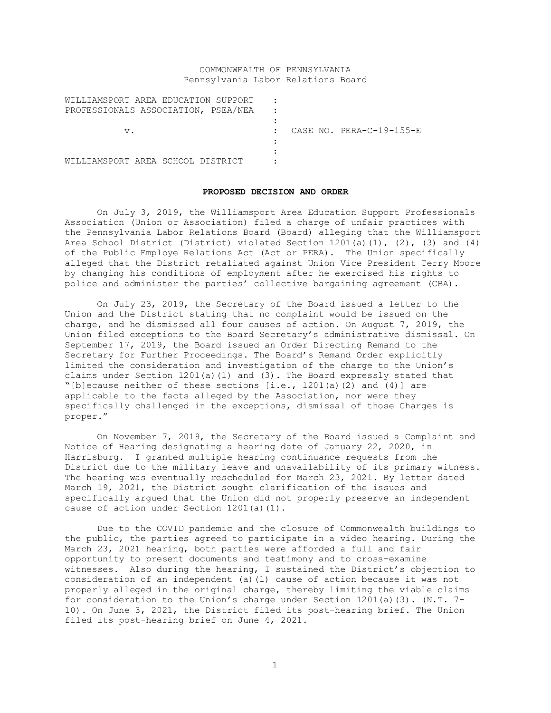# COMMONWEALTH OF PENNSYLVANIA Pennsylvania Labor Relations Board

| WILLIAMSPORT AREA EDUCATION SUPPORT |  |                          |
|-------------------------------------|--|--------------------------|
| PROFESSIONALS ASSOCIATION, PSEA/NEA |  |                          |
|                                     |  |                          |
| $V$ .                               |  | CASE NO. PERA-C-19-155-E |
|                                     |  |                          |
|                                     |  |                          |
| WILLIAMSPORT AREA SCHOOL DISTRICT   |  |                          |

#### **PROPOSED DECISION AND ORDER**

On July 3, 2019, the Williamsport Area Education Support Professionals Association (Union or Association) filed a charge of unfair practices with the Pennsylvania Labor Relations Board (Board) alleging that the Williamsport Area School District (District) violated Section 1201(a)(1), (2), (3) and (4) of the Public Employe Relations Act (Act or PERA). The Union specifically alleged that the District retaliated against Union Vice President Terry Moore by changing his conditions of employment after he exercised his rights to police and administer the parties' collective bargaining agreement (CBA).

On July 23, 2019, the Secretary of the Board issued a letter to the Union and the District stating that no complaint would be issued on the charge, and he dismissed all four causes of action. On August 7, 2019, the Union filed exceptions to the Board Secretary's administrative dismissal. On September 17, 2019, the Board issued an Order Directing Remand to the Secretary for Further Proceedings. The Board's Remand Order explicitly limited the consideration and investigation of the charge to the Union's claims under Section 1201(a)(1) and (3). The Board expressly stated that "[b]ecause neither of these sections [i.e., 1201(a)(2) and (4)] are applicable to the facts alleged by the Association, nor were they specifically challenged in the exceptions, dismissal of those Charges is proper."

On November 7, 2019, the Secretary of the Board issued a Complaint and Notice of Hearing designating a hearing date of January 22, 2020, in Harrisburg. I granted multiple hearing continuance requests from the District due to the military leave and unavailability of its primary witness. The hearing was eventually rescheduled for March 23, 2021. By letter dated March 19, 2021, the District sought clarification of the issues and specifically argued that the Union did not properly preserve an independent cause of action under Section 1201(a)(1).

Due to the COVID pandemic and the closure of Commonwealth buildings to the public, the parties agreed to participate in a video hearing. During the March 23, 2021 hearing, both parties were afforded a full and fair opportunity to present documents and testimony and to cross-examine witnesses. Also during the hearing, I sustained the District's objection to consideration of an independent (a)(1) cause of action because it was not properly alleged in the original charge, thereby limiting the viable claims for consideration to the Union's charge under Section 1201(a)(3). (N.T. 7- 10). On June 3, 2021, the District filed its post-hearing brief. The Union filed its post-hearing brief on June 4, 2021.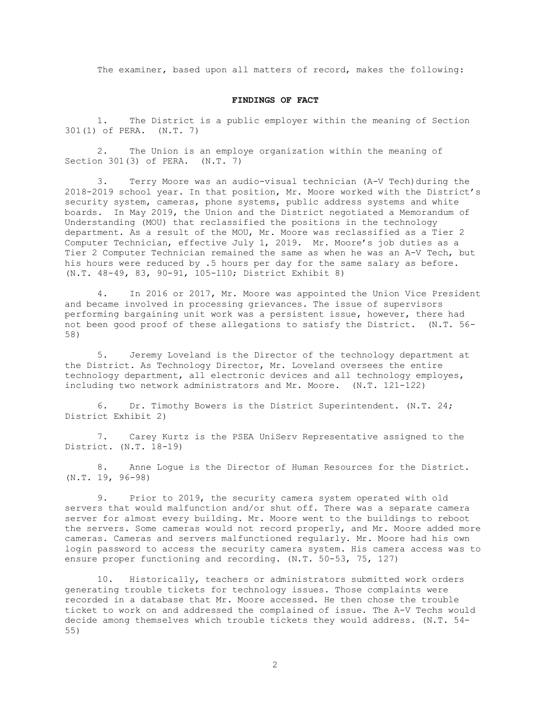The examiner, based upon all matters of record, makes the following:

## **FINDINGS OF FACT**

1. The District is a public employer within the meaning of Section 301(1) of PERA. (N.T. 7)

2. The Union is an employe organization within the meaning of Section 301(3) of PERA. (N.T. 7)

3. Terry Moore was an audio-visual technician (A-V Tech)during the 2018-2019 school year. In that position, Mr. Moore worked with the District's security system, cameras, phone systems, public address systems and white boards. In May 2019, the Union and the District negotiated a Memorandum of Understanding (MOU) that reclassified the positions in the technology department. As a result of the MOU, Mr. Moore was reclassified as a Tier 2 Computer Technician, effective July 1, 2019. Mr. Moore's job duties as a Tier 2 Computer Technician remained the same as when he was an A-V Tech, but his hours were reduced by .5 hours per day for the same salary as before. (N.T. 48-49, 83, 90-91, 105-110; District Exhibit 8)

4. In 2016 or 2017, Mr. Moore was appointed the Union Vice President and became involved in processing grievances. The issue of supervisors performing bargaining unit work was a persistent issue, however, there had not been good proof of these allegations to satisfy the District. (N.T. 56- 58)

5. Jeremy Loveland is the Director of the technology department at the District. As Technology Director, Mr. Loveland oversees the entire technology department, all electronic devices and all technology employes, including two network administrators and Mr. Moore. (N.T. 121-122)

6. Dr. Timothy Bowers is the District Superintendent. (N.T. 24; District Exhibit 2)

7. Carey Kurtz is the PSEA UniServ Representative assigned to the District. (N.T. 18-19)

8. Anne Logue is the Director of Human Resources for the District. (N.T. 19, 96-98)

9. Prior to 2019, the security camera system operated with old servers that would malfunction and/or shut off. There was a separate camera server for almost every building. Mr. Moore went to the buildings to reboot the servers. Some cameras would not record properly, and Mr. Moore added more cameras. Cameras and servers malfunctioned regularly. Mr. Moore had his own login password to access the security camera system. His camera access was to ensure proper functioning and recording. (N.T. 50-53, 75, 127)

10. Historically, teachers or administrators submitted work orders generating trouble tickets for technology issues. Those complaints were recorded in a database that Mr. Moore accessed. He then chose the trouble ticket to work on and addressed the complained of issue. The A-V Techs would decide among themselves which trouble tickets they would address. (N.T. 54- 55)

2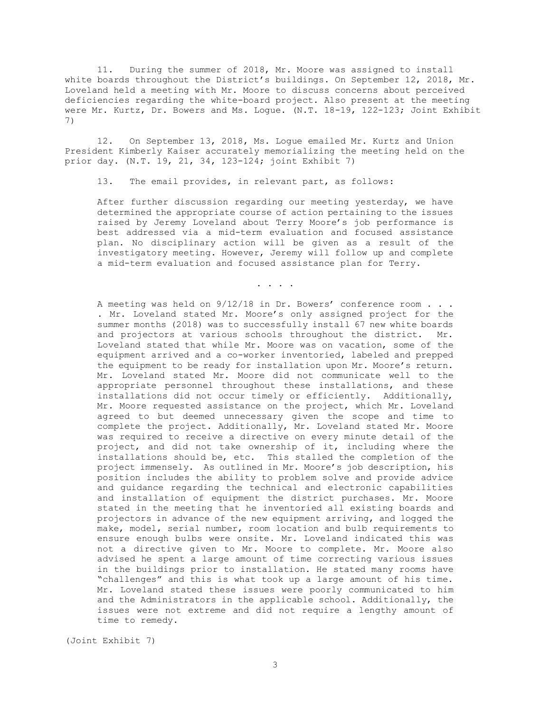11. During the summer of 2018, Mr. Moore was assigned to install white boards throughout the District's buildings. On September 12, 2018, Mr. Loveland held a meeting with Mr. Moore to discuss concerns about perceived deficiencies regarding the white-board project. Also present at the meeting were Mr. Kurtz, Dr. Bowers and Ms. Logue. (N.T. 18-19, 122-123; Joint Exhibit 7)

12. On September 13, 2018, Ms. Logue emailed Mr. Kurtz and Union President Kimberly Kaiser accurately memorializing the meeting held on the prior day. (N.T. 19, 21, 34, 123-124; joint Exhibit 7)

13. The email provides, in relevant part, as follows:

After further discussion regarding our meeting yesterday, we have determined the appropriate course of action pertaining to the issues raised by Jeremy Loveland about Terry Moore's job performance is best addressed via a mid-term evaluation and focused assistance plan. No disciplinary action will be given as a result of the investigatory meeting. However, Jeremy will follow up and complete a mid-term evaluation and focused assistance plan for Terry.

. . . .

A meeting was held on 9/12/18 in Dr. Bowers' conference room . . . . Mr. Loveland stated Mr. Moore's only assigned project for the summer months (2018) was to successfully install 67 new white boards and projectors at various schools throughout the district. Mr. Loveland stated that while Mr. Moore was on vacation, some of the equipment arrived and a co-worker inventoried, labeled and prepped the equipment to be ready for installation upon Mr. Moore's return. Mr. Loveland stated Mr. Moore did not communicate well to the appropriate personnel throughout these installations, and these installations did not occur timely or efficiently. Additionally, Mr. Moore requested assistance on the project, which Mr. Loveland agreed to but deemed unnecessary given the scope and time to complete the project. Additionally, Mr. Loveland stated Mr. Moore was required to receive a directive on every minute detail of the project, and did not take ownership of it, including where the installations should be, etc. This stalled the completion of the project immensely. As outlined in Mr. Moore's job description, his position includes the ability to problem solve and provide advice and guidance regarding the technical and electronic capabilities and installation of equipment the district purchases. Mr. Moore stated in the meeting that he inventoried all existing boards and projectors in advance of the new equipment arriving, and logged the make, model, serial number, room location and bulb requirements to ensure enough bulbs were onsite. Mr. Loveland indicated this was not a directive given to Mr. Moore to complete. Mr. Moore also advised he spent a large amount of time correcting various issues in the buildings prior to installation. He stated many rooms have "challenges" and this is what took up a large amount of his time. Mr. Loveland stated these issues were poorly communicated to him and the Administrators in the applicable school. Additionally, the issues were not extreme and did not require a lengthy amount of time to remedy.

(Joint Exhibit 7)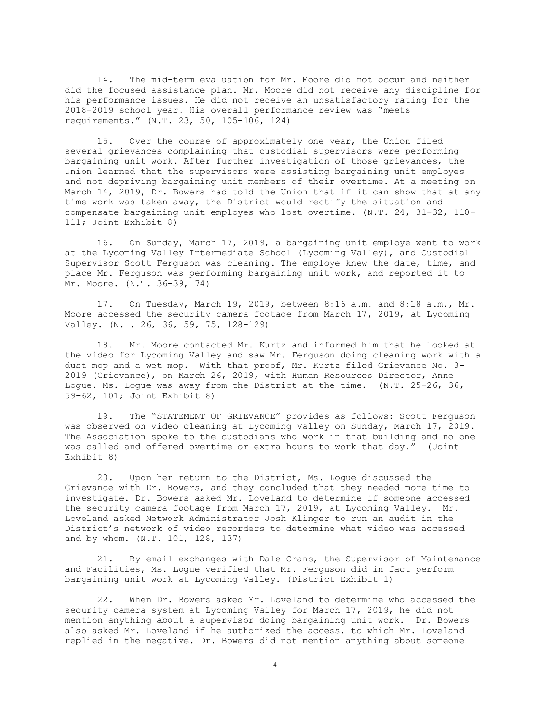14. The mid-term evaluation for Mr. Moore did not occur and neither did the focused assistance plan. Mr. Moore did not receive any discipline for his performance issues. He did not receive an unsatisfactory rating for the 2018-2019 school year. His overall performance review was "meets requirements." (N.T. 23, 50, 105-106, 124)

15. Over the course of approximately one year, the Union filed several grievances complaining that custodial supervisors were performing bargaining unit work. After further investigation of those grievances, the Union learned that the supervisors were assisting bargaining unit employes and not depriving bargaining unit members of their overtime. At a meeting on March 14, 2019, Dr. Bowers had told the Union that if it can show that at any time work was taken away, the District would rectify the situation and compensate bargaining unit employes who lost overtime. (N.T. 24, 31-32, 110- 111; Joint Exhibit 8)

16. On Sunday, March 17, 2019, a bargaining unit employe went to work at the Lycoming Valley Intermediate School (Lycoming Valley), and Custodial Supervisor Scott Ferguson was cleaning. The employe knew the date, time, and place Mr. Ferguson was performing bargaining unit work, and reported it to Mr. Moore. (N.T. 36-39, 74)

17. On Tuesday, March 19, 2019, between 8:16 a.m. and 8:18 a.m., Mr. Moore accessed the security camera footage from March 17, 2019, at Lycoming Valley. (N.T. 26, 36, 59, 75, 128-129)

18. Mr. Moore contacted Mr. Kurtz and informed him that he looked at the video for Lycoming Valley and saw Mr. Ferguson doing cleaning work with a dust mop and a wet mop. With that proof, Mr. Kurtz filed Grievance No. 3- 2019 (Grievance), on March 26, 2019, with Human Resources Director, Anne Logue. Ms. Logue was away from the District at the time. (N.T. 25-26, 36, 59-62, 101; Joint Exhibit 8)

19. The "STATEMENT OF GRIEVANCE" provides as follows: Scott Ferguson was observed on video cleaning at Lycoming Valley on Sunday, March 17, 2019. The Association spoke to the custodians who work in that building and no one was called and offered overtime or extra hours to work that day." (Joint Exhibit 8)

20. Upon her return to the District, Ms. Logue discussed the Grievance with Dr. Bowers, and they concluded that they needed more time to investigate. Dr. Bowers asked Mr. Loveland to determine if someone accessed the security camera footage from March 17, 2019, at Lycoming Valley. Mr. Loveland asked Network Administrator Josh Klinger to run an audit in the District's network of video recorders to determine what video was accessed and by whom. (N.T. 101, 128, 137)

21. By email exchanges with Dale Crans, the Supervisor of Maintenance and Facilities, Ms. Logue verified that Mr. Ferguson did in fact perform bargaining unit work at Lycoming Valley. (District Exhibit 1)

22. When Dr. Bowers asked Mr. Loveland to determine who accessed the security camera system at Lycoming Valley for March 17, 2019, he did not mention anything about a supervisor doing bargaining unit work. Dr. Bowers also asked Mr. Loveland if he authorized the access, to which Mr. Loveland replied in the negative. Dr. Bowers did not mention anything about someone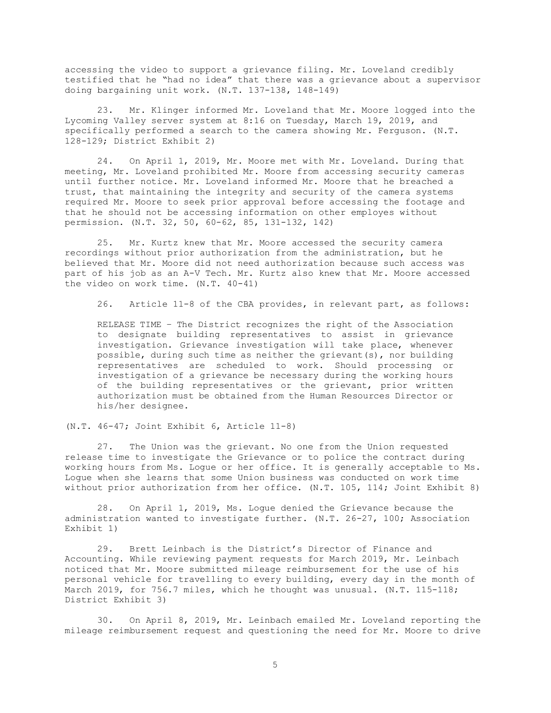accessing the video to support a grievance filing. Mr. Loveland credibly testified that he "had no idea" that there was a grievance about a supervisor doing bargaining unit work. (N.T. 137-138, 148-149)

23. Mr. Klinger informed Mr. Loveland that Mr. Moore logged into the Lycoming Valley server system at 8:16 on Tuesday, March 19, 2019, and specifically performed a search to the camera showing Mr. Ferguson. (N.T. 128-129; District Exhibit 2)

24. On April 1, 2019, Mr. Moore met with Mr. Loveland. During that meeting, Mr. Loveland prohibited Mr. Moore from accessing security cameras until further notice. Mr. Loveland informed Mr. Moore that he breached a trust, that maintaining the integrity and security of the camera systems required Mr. Moore to seek prior approval before accessing the footage and that he should not be accessing information on other employes without permission. (N.T. 32, 50, 60-62, 85, 131-132, 142)

25. Mr. Kurtz knew that Mr. Moore accessed the security camera recordings without prior authorization from the administration, but he believed that Mr. Moore did not need authorization because such access was part of his job as an A-V Tech. Mr. Kurtz also knew that Mr. Moore accessed the video on work time. (N.T. 40-41)

26. Article 11-8 of the CBA provides, in relevant part, as follows:

RELEASE TIME – The District recognizes the right of the Association to designate building representatives to assist in grievance investigation. Grievance investigation will take place, whenever possible, during such time as neither the grievant(s), nor building representatives are scheduled to work. Should processing or investigation of a grievance be necessary during the working hours of the building representatives or the grievant, prior written authorization must be obtained from the Human Resources Director or his/her designee.

(N.T. 46-47; Joint Exhibit 6, Article 11-8)

27. The Union was the grievant. No one from the Union requested release time to investigate the Grievance or to police the contract during working hours from Ms. Logue or her office. It is generally acceptable to Ms. Logue when she learns that some Union business was conducted on work time without prior authorization from her office. (N.T. 105, 114; Joint Exhibit 8)

28. On April 1, 2019, Ms. Logue denied the Grievance because the administration wanted to investigate further. (N.T. 26-27, 100; Association Exhibit 1)

29. Brett Leinbach is the District's Director of Finance and Accounting. While reviewing payment requests for March 2019, Mr. Leinbach noticed that Mr. Moore submitted mileage reimbursement for the use of his personal vehicle for travelling to every building, every day in the month of March 2019, for 756.7 miles, which he thought was unusual. (N.T. 115-118; District Exhibit 3)

30. On April 8, 2019, Mr. Leinbach emailed Mr. Loveland reporting the mileage reimbursement request and questioning the need for Mr. Moore to drive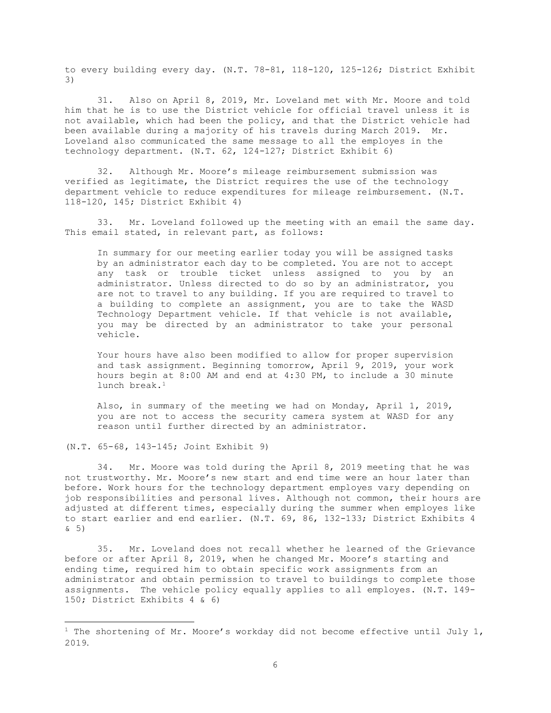to every building every day. (N.T. 78-81, 118-120, 125-126; District Exhibit 3)

31. Also on April 8, 2019, Mr. Loveland met with Mr. Moore and told him that he is to use the District vehicle for official travel unless it is not available, which had been the policy, and that the District vehicle had been available during a majority of his travels during March 2019. Mr. Loveland also communicated the same message to all the employes in the technology department. (N.T. 62, 124-127; District Exhibit 6)

32. Although Mr. Moore's mileage reimbursement submission was verified as legitimate, the District requires the use of the technology department vehicle to reduce expenditures for mileage reimbursement. (N.T. 118-120, 145; District Exhibit 4)

33. Mr. Loveland followed up the meeting with an email the same day. This email stated, in relevant part, as follows:

In summary for our meeting earlier today you will be assigned tasks by an administrator each day to be completed. You are not to accept any task or trouble ticket unless assigned to you by an administrator. Unless directed to do so by an administrator, you are not to travel to any building. If you are required to travel to a building to complete an assignment, you are to take the WASD Technology Department vehicle. If that vehicle is not available, you may be directed by an administrator to take your personal vehicle.

Your hours have also been modified to allow for proper supervision and task assignment. Beginning tomorrow, April 9, 2019, your work hours begin at 8:00 AM and end at 4:30 PM, to include a 30 minute lunch break.<sup>1</sup>

Also, in summary of the meeting we had on Monday, April 1, 2019, you are not to access the security camera system at WASD for any reason until further directed by an administrator.

34. Mr. Moore was told during the April 8, 2019 meeting that he was not trustworthy. Mr. Moore's new start and end time were an hour later than before. Work hours for the technology department employes vary depending on job responsibilities and personal lives. Although not common, their hours are adjusted at different times, especially during the summer when employes like to start earlier and end earlier. (N.T. 69, 86, 132-133; District Exhibits 4 & 5)

35. Mr. Loveland does not recall whether he learned of the Grievance before or after April 8, 2019, when he changed Mr. Moore's starting and ending time, required him to obtain specific work assignments from an administrator and obtain permission to travel to buildings to complete those assignments. The vehicle policy equally applies to all employes. (N.T. 149- 150; District Exhibits 4 & 6)

<sup>(</sup>N.T. 65-68, 143-145; Joint Exhibit 9)

<span id="page-5-0"></span><sup>&</sup>lt;sup>1</sup> The shortening of Mr. Moore's workday did not become effective until July 1, 2019.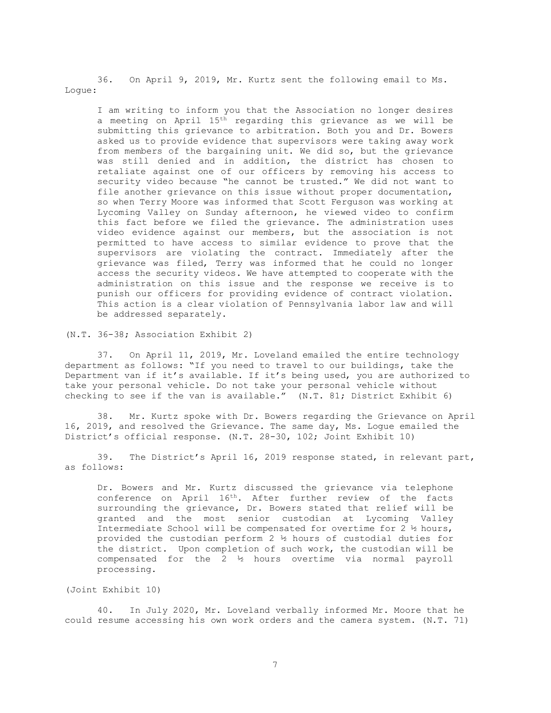36. On April 9, 2019, Mr. Kurtz sent the following email to Ms. Logue:

I am writing to inform you that the Association no longer desires a meeting on April 15th regarding this grievance as we will be submitting this grievance to arbitration. Both you and Dr. Bowers asked us to provide evidence that supervisors were taking away work from members of the bargaining unit. We did so, but the grievance was still denied and in addition, the district has chosen to retaliate against one of our officers by removing his access to security video because "he cannot be trusted." We did not want to file another grievance on this issue without proper documentation, so when Terry Moore was informed that Scott Ferguson was working at Lycoming Valley on Sunday afternoon, he viewed video to confirm this fact before we filed the grievance. The administration uses video evidence against our members, but the association is not permitted to have access to similar evidence to prove that the supervisors are violating the contract. Immediately after the grievance was filed, Terry was informed that he could no longer access the security videos. We have attempted to cooperate with the administration on this issue and the response we receive is to punish our officers for providing evidence of contract violation. This action is a clear violation of Pennsylvania labor law and will be addressed separately.

(N.T. 36-38; Association Exhibit 2)

37. On April 11, 2019, Mr. Loveland emailed the entire technology department as follows: "If you need to travel to our buildings, take the Department van if it's available. If it's being used, you are authorized to take your personal vehicle. Do not take your personal vehicle without checking to see if the van is available." (N.T. 81; District Exhibit 6)

38. Mr. Kurtz spoke with Dr. Bowers regarding the Grievance on April 16, 2019, and resolved the Grievance. The same day, Ms. Logue emailed the District's official response. (N.T. 28-30, 102; Joint Exhibit 10)

39. The District's April 16, 2019 response stated, in relevant part, as follows:

Dr. Bowers and Mr. Kurtz discussed the grievance via telephone conference on April 16th. After further review of the facts surrounding the grievance, Dr. Bowers stated that relief will be granted and the most senior custodian at Lycoming Valley Intermediate School will be compensated for overtime for 2 ½ hours, provided the custodian perform 2 ½ hours of custodial duties for the district. Upon completion of such work, the custodian will be compensated for the 2 ½ hours overtime via normal payroll processing.

(Joint Exhibit 10)

40. In July 2020, Mr. Loveland verbally informed Mr. Moore that he could resume accessing his own work orders and the camera system. (N.T. 71)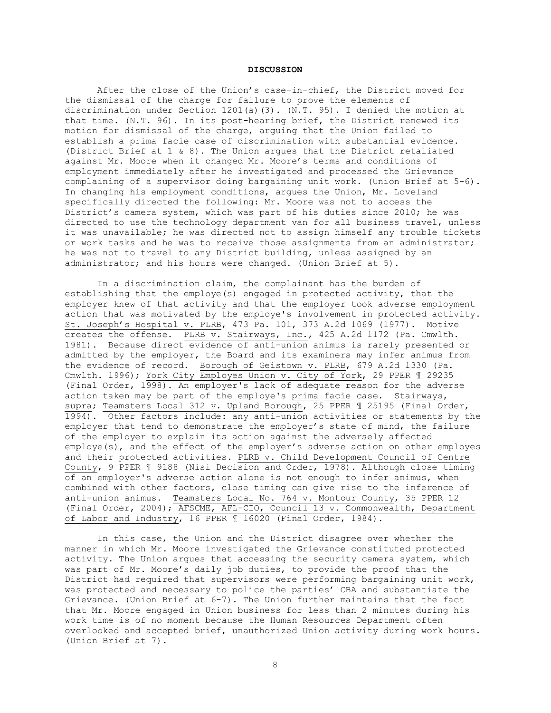#### **DISCUSSION**

After the close of the Union's case-in-chief, the District moved for the dismissal of the charge for failure to prove the elements of discrimination under Section 1201(a)(3). (N.T. 95). I denied the motion at that time. (N.T. 96). In its post-hearing brief, the District renewed its motion for dismissal of the charge, arguing that the Union failed to establish a prima facie case of discrimination with substantial evidence. (District Brief at 1 & 8). The Union argues that the District retaliated against Mr. Moore when it changed Mr. Moore's terms and conditions of employment immediately after he investigated and processed the Grievance complaining of a supervisor doing bargaining unit work. (Union Brief at 5-6). In changing his employment conditions, argues the Union, Mr. Loveland specifically directed the following: Mr. Moore was not to access the District's camera system, which was part of his duties since 2010; he was directed to use the technology department van for all business travel, unless it was unavailable; he was directed not to assign himself any trouble tickets or work tasks and he was to receive those assignments from an administrator; he was not to travel to any District building, unless assigned by an administrator; and his hours were changed. (Union Brief at 5).

In a discrimination claim, the complainant has the burden of establishing that the employe(s) engaged in protected activity, that the employer knew of that activity and that the employer took adverse employment action that was motivated by the employe's involvement in protected activity. St. Joseph's Hospital v. PLRB, 473 Pa. 101, 373 A.2d 1069 (1977). Motive creates the offense. PLRB v. Stairways, Inc., 425 A.2d 1172 (Pa. Cmwlth. 1981).Because direct evidence of anti-union animus is rarely presented or admitted by the employer, the Board and its examiners may infer animus from the evidence of record. Borough of Geistown v. PLRB, 679 A.2d 1330 (Pa. Cmwlth. 1996); York City Employes Union v. City of York, 29 PPER 1 29235 (Final Order, 1998). An employer's lack of adequate reason for the adverse action taken may be part of the employe's prima facie case. Stairways, supra; Teamsters Local 312 v. Upland Borough, 25 PPER 1 25195 (Final Order, 1994). Other factors include: any anti-union activities or statements by the employer that tend to demonstrate the employer's state of mind, the failure of the employer to explain its action against the adversely affected employe(s), and the effect of the employer's adverse action on other employes and their protected activities. PLRB v. Child Development Council of Centre County, 9 PPER ¶ 9188 (Nisi Decision and Order, 1978). Although close timing of an employer's adverse action alone is not enough to infer animus, when combined with other factors, close timing can give rise to the inference of anti-union animus. <u>Teamsters Local No. 764 v. Montour County</u>, 35 PPER 12 (Final Order, 2004); AFSCME, AFL-CIO, Council 13 v. Commonwealth, Department of Labor and Industry, 16 PPER ¶ 16020 (Final Order, 1984).

In this case, the Union and the District disagree over whether the manner in which Mr. Moore investigated the Grievance constituted protected activity. The Union argues that accessing the security camera system, which was part of Mr. Moore's daily job duties, to provide the proof that the District had required that supervisors were performing bargaining unit work, was protected and necessary to police the parties' CBA and substantiate the Grievance. (Union Brief at 6-7). The Union further maintains that the fact that Mr. Moore engaged in Union business for less than 2 minutes during his work time is of no moment because the Human Resources Department often overlooked and accepted brief, unauthorized Union activity during work hours. (Union Brief at 7).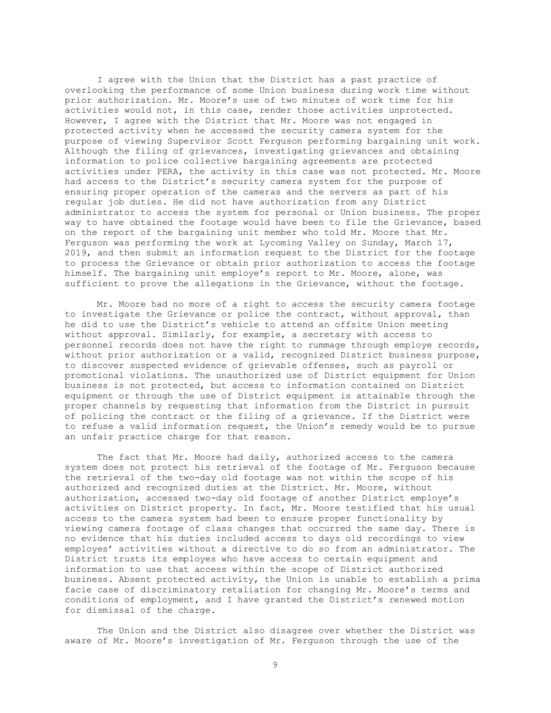I agree with the Union that the District has a past practice of overlooking the performance of some Union business during work time without prior authorization. Mr. Moore's use of two minutes of work time for his activities would not, in this case, render those activities unprotected. However, I agree with the District that Mr. Moore was not engaged in protected activity when he accessed the security camera system for the purpose of viewing Supervisor Scott Ferguson performing bargaining unit work. Although the filing of grievances, investigating grievances and obtaining information to police collective bargaining agreements are protected activities under PERA, the activity in this case was not protected. Mr. Moore had access to the District's security camera system for the purpose of ensuring proper operation of the cameras and the servers as part of his regular job duties. He did not have authorization from any District administrator to access the system for personal or Union business. The proper way to have obtained the footage would have been to file the Grievance, based on the report of the bargaining unit member who told Mr. Moore that Mr. Ferguson was performing the work at Lycoming Valley on Sunday, March 17, 2019, and then submit an information request to the District for the footage to process the Grievance or obtain prior authorization to access the footage himself. The bargaining unit employe's report to Mr. Moore, alone, was sufficient to prove the allegations in the Grievance, without the footage.

Mr. Moore had no more of a right to access the security camera footage to investigate the Grievance or police the contract, without approval, than he did to use the District's vehicle to attend an offsite Union meeting without approval. Similarly, for example, a secretary with access to personnel records does not have the right to rummage through employe records, without prior authorization or a valid, recognized District business purpose, to discover suspected evidence of grievable offenses, such as payroll or promotional violations. The unauthorized use of District equipment for Union business is not protected, but access to information contained on District equipment or through the use of District equipment is attainable through the proper channels by requesting that information from the District in pursuit of policing the contract or the filing of a grievance. If the District were to refuse a valid information request, the Union's remedy would be to pursue an unfair practice charge for that reason.

The fact that Mr. Moore had daily, authorized access to the camera system does not protect his retrieval of the footage of Mr. Ferguson because the retrieval of the two-day old footage was not within the scope of his authorized and recognized duties at the District. Mr. Moore, without authorization, accessed two-day old footage of another District employe's activities on District property. In fact, Mr. Moore testified that his usual access to the camera system had been to ensure proper functionality by viewing camera footage of class changes that occurred the same day. There is no evidence that his duties included access to days old recordings to view employes' activities without a directive to do so from an administrator. The District trusts its employes who have access to certain equipment and information to use that access within the scope of District authorized business. Absent protected activity, the Union is unable to establish a prima facie case of discriminatory retaliation for changing Mr. Moore's terms and conditions of employment, and I have granted the District's renewed motion for dismissal of the charge.

The Union and the District also disagree over whether the District was aware of Mr. Moore's investigation of Mr. Ferguson through the use of the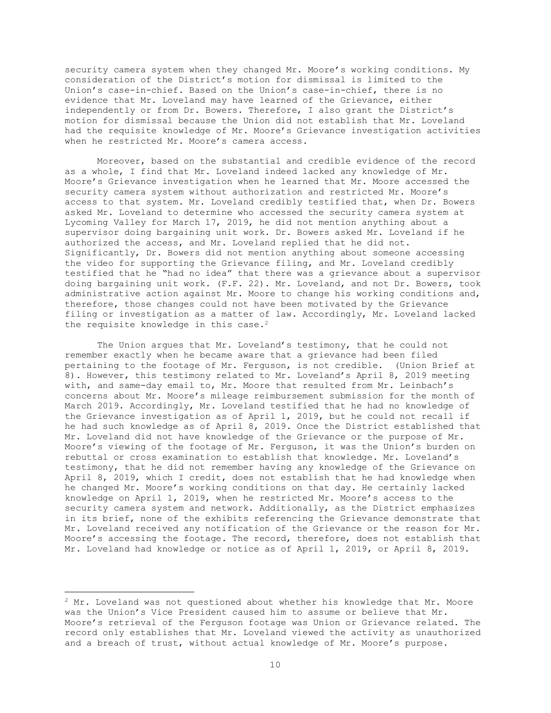security camera system when they changed Mr. Moore's working conditions. My consideration of the District's motion for dismissal is limited to the Union's case-in-chief. Based on the Union's case-in-chief, there is no evidence that Mr. Loveland may have learned of the Grievance, either independently or from Dr. Bowers. Therefore, I also grant the District's motion for dismissal because the Union did not establish that Mr. Loveland had the requisite knowledge of Mr. Moore's Grievance investigation activities when he restricted Mr. Moore's camera access.

Moreover, based on the substantial and credible evidence of the record as a whole, I find that Mr. Loveland indeed lacked any knowledge of Mr. Moore's Grievance investigation when he learned that Mr. Moore accessed the security camera system without authorization and restricted Mr. Moore's access to that system. Mr. Loveland credibly testified that, when Dr. Bowers asked Mr. Loveland to determine who accessed the security camera system at Lycoming Valley for March 17, 2019, he did not mention anything about a supervisor doing bargaining unit work. Dr. Bowers asked Mr. Loveland if he authorized the access, and Mr. Loveland replied that he did not. Significantly, Dr. Bowers did not mention anything about someone accessing the video for supporting the Grievance filing, and Mr. Loveland credibly testified that he "had no idea" that there was a grievance about a supervisor doing bargaining unit work. (F.F. 22). Mr. Loveland, and not Dr. Bowers, took administrative action against Mr. Moore to change his working conditions and, therefore, those changes could not have been motivated by the Grievance filing or investigation as a matter of law. Accordingly, Mr. Loveland lacked the requisite knowledge in this case. $2$ 

The Union argues that Mr. Loveland's testimony, that he could not remember exactly when he became aware that a grievance had been filed pertaining to the footage of Mr. Ferguson, is not credible. (Union Brief at 8). However, this testimony related to Mr. Loveland's April 8, 2019 meeting with, and same-day email to, Mr. Moore that resulted from Mr. Leinbach's concerns about Mr. Moore's mileage reimbursement submission for the month of March 2019. Accordingly, Mr. Loveland testified that he had no knowledge of the Grievance investigation as of April 1, 2019, but he could not recall if he had such knowledge as of April 8, 2019. Once the District established that Mr. Loveland did not have knowledge of the Grievance or the purpose of Mr. Moore's viewing of the footage of Mr. Ferguson, it was the Union's burden on rebuttal or cross examination to establish that knowledge. Mr. Loveland's testimony, that he did not remember having any knowledge of the Grievance on April 8, 2019, which I credit, does not establish that he had knowledge when he changed Mr. Moore's working conditions on that day. He certainly lacked knowledge on April 1, 2019, when he restricted Mr. Moore's access to the security camera system and network. Additionally, as the District emphasizes in its brief, none of the exhibits referencing the Grievance demonstrate that Mr. Loveland received any notification of the Grievance or the reason for Mr. Moore's accessing the footage. The record, therefore, does not establish that Mr. Loveland had knowledge or notice as of April 1, 2019, or April 8, 2019.

<span id="page-9-0"></span> $2$  Mr. Loveland was not questioned about whether his knowledge that Mr. Moore was the Union's Vice President caused him to assume or believe that Mr. Moore's retrieval of the Ferguson footage was Union or Grievance related. The record only establishes that Mr. Loveland viewed the activity as unauthorized and a breach of trust, without actual knowledge of Mr. Moore's purpose.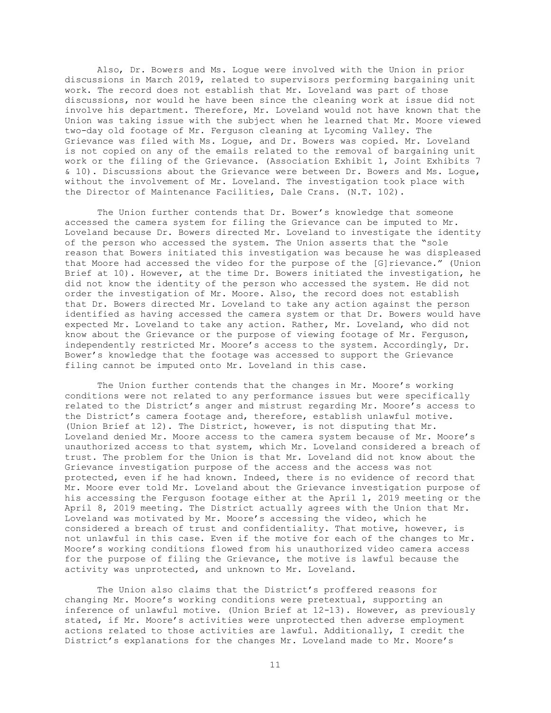Also, Dr. Bowers and Ms. Logue were involved with the Union in prior discussions in March 2019, related to supervisors performing bargaining unit work. The record does not establish that Mr. Loveland was part of those discussions, nor would he have been since the cleaning work at issue did not involve his department. Therefore, Mr. Loveland would not have known that the Union was taking issue with the subject when he learned that Mr. Moore viewed two-day old footage of Mr. Ferguson cleaning at Lycoming Valley. The Grievance was filed with Ms. Logue, and Dr. Bowers was copied. Mr. Loveland is not copied on any of the emails related to the removal of bargaining unit work or the filing of the Grievance. (Association Exhibit 1, Joint Exhibits 7 & 10). Discussions about the Grievance were between Dr. Bowers and Ms. Logue, without the involvement of Mr. Loveland. The investigation took place with the Director of Maintenance Facilities, Dale Crans. (N.T. 102).

The Union further contends that Dr. Bower's knowledge that someone accessed the camera system for filing the Grievance can be imputed to Mr. Loveland because Dr. Bowers directed Mr. Loveland to investigate the identity of the person who accessed the system. The Union asserts that the "sole reason that Bowers initiated this investigation was because he was displeased that Moore had accessed the video for the purpose of the [G]rievance." (Union Brief at 10). However, at the time Dr. Bowers initiated the investigation, he did not know the identity of the person who accessed the system. He did not order the investigation of Mr. Moore. Also, the record does not establish that Dr. Bowers directed Mr. Loveland to take any action against the person identified as having accessed the camera system or that Dr. Bowers would have expected Mr. Loveland to take any action. Rather, Mr. Loveland, who did not know about the Grievance or the purpose of viewing footage of Mr. Ferguson, independently restricted Mr. Moore's access to the system. Accordingly, Dr. Bower's knowledge that the footage was accessed to support the Grievance filing cannot be imputed onto Mr. Loveland in this case.

The Union further contends that the changes in Mr. Moore's working conditions were not related to any performance issues but were specifically related to the District's anger and mistrust regarding Mr. Moore's access to the District's camera footage and, therefore, establish unlawful motive. (Union Brief at 12). The District, however, is not disputing that Mr. Loveland denied Mr. Moore access to the camera system because of Mr. Moore's unauthorized access to that system, which Mr. Loveland considered a breach of trust. The problem for the Union is that Mr. Loveland did not know about the Grievance investigation purpose of the access and the access was not protected, even if he had known. Indeed, there is no evidence of record that Mr. Moore ever told Mr. Loveland about the Grievance investigation purpose of his accessing the Ferguson footage either at the April 1, 2019 meeting or the April 8, 2019 meeting. The District actually agrees with the Union that Mr. Loveland was motivated by Mr. Moore's accessing the video, which he considered a breach of trust and confidentiality. That motive, however, is not unlawful in this case. Even if the motive for each of the changes to Mr. Moore's working conditions flowed from his unauthorized video camera access for the purpose of filing the Grievance, the motive is lawful because the activity was unprotected, and unknown to Mr. Loveland.

The Union also claims that the District's proffered reasons for changing Mr. Moore's working conditions were pretextual, supporting an inference of unlawful motive. (Union Brief at 12-13). However, as previously stated, if Mr. Moore's activities were unprotected then adverse employment actions related to those activities are lawful. Additionally, I credit the District's explanations for the changes Mr. Loveland made to Mr. Moore's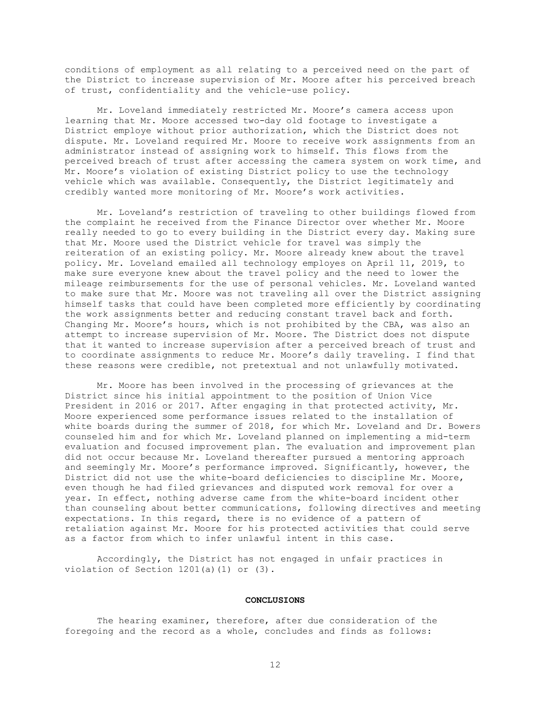conditions of employment as all relating to a perceived need on the part of the District to increase supervision of Mr. Moore after his perceived breach of trust, confidentiality and the vehicle-use policy.

Mr. Loveland immediately restricted Mr. Moore's camera access upon learning that Mr. Moore accessed two-day old footage to investigate a District employe without prior authorization, which the District does not dispute. Mr. Loveland required Mr. Moore to receive work assignments from an administrator instead of assigning work to himself. This flows from the perceived breach of trust after accessing the camera system on work time, and Mr. Moore's violation of existing District policy to use the technology vehicle which was available. Consequently, the District legitimately and credibly wanted more monitoring of Mr. Moore's work activities.

Mr. Loveland's restriction of traveling to other buildings flowed from the complaint he received from the Finance Director over whether Mr. Moore really needed to go to every building in the District every day. Making sure that Mr. Moore used the District vehicle for travel was simply the reiteration of an existing policy. Mr. Moore already knew about the travel policy. Mr. Loveland emailed all technology employes on April 11, 2019, to make sure everyone knew about the travel policy and the need to lower the mileage reimbursements for the use of personal vehicles. Mr. Loveland wanted to make sure that Mr. Moore was not traveling all over the District assigning himself tasks that could have been completed more efficiently by coordinating the work assignments better and reducing constant travel back and forth. Changing Mr. Moore's hours, which is not prohibited by the CBA, was also an attempt to increase supervision of Mr. Moore. The District does not dispute that it wanted to increase supervision after a perceived breach of trust and to coordinate assignments to reduce Mr. Moore's daily traveling. I find that these reasons were credible, not pretextual and not unlawfully motivated.

Mr. Moore has been involved in the processing of grievances at the District since his initial appointment to the position of Union Vice President in 2016 or 2017. After engaging in that protected activity, Mr. Moore experienced some performance issues related to the installation of white boards during the summer of 2018, for which Mr. Loveland and Dr. Bowers counseled him and for which Mr. Loveland planned on implementing a mid-term evaluation and focused improvement plan. The evaluation and improvement plan did not occur because Mr. Loveland thereafter pursued a mentoring approach and seemingly Mr. Moore's performance improved. Significantly, however, the District did not use the white-board deficiencies to discipline Mr. Moore, even though he had filed grievances and disputed work removal for over a year. In effect, nothing adverse came from the white-board incident other than counseling about better communications, following directives and meeting expectations. In this regard, there is no evidence of a pattern of retaliation against Mr. Moore for his protected activities that could serve as a factor from which to infer unlawful intent in this case.

Accordingly, the District has not engaged in unfair practices in violation of Section 1201(a)(1) or (3).

### **CONCLUSIONS**

The hearing examiner, therefore, after due consideration of the foregoing and the record as a whole, concludes and finds as follows: